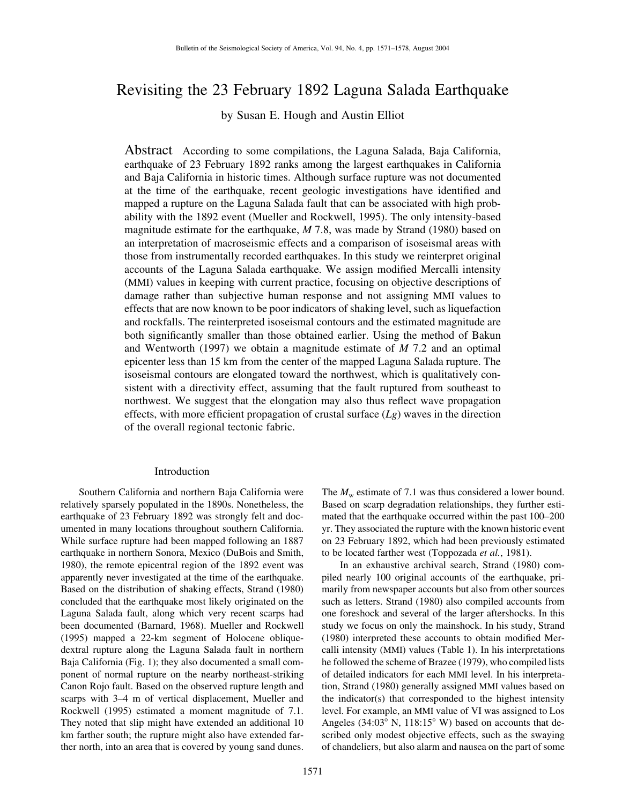# Revisiting the 23 February 1892 Laguna Salada Earthquake

by Susan E. Hough and Austin Elliot

Abstract According to some compilations, the Laguna Salada, Baja California, earthquake of 23 February 1892 ranks among the largest earthquakes in California and Baja California in historic times. Although surface rupture was not documented at the time of the earthquake, recent geologic investigations have identified and mapped a rupture on the Laguna Salada fault that can be associated with high probability with the 1892 event (Mueller and Rockwell, 1995). The only intensity-based magnitude estimate for the earthquake, *M* 7.8, was made by Strand (1980) based on an interpretation of macroseismic effects and a comparison of isoseismal areas with those from instrumentally recorded earthquakes. In this study we reinterpret original accounts of the Laguna Salada earthquake. We assign modified Mercalli intensity (MMI) values in keeping with current practice, focusing on objective descriptions of damage rather than subjective human response and not assigning MMI values to effects that are now known to be poor indicators of shaking level, such as liquefaction and rockfalls. The reinterpreted isoseismal contours and the estimated magnitude are both significantly smaller than those obtained earlier. Using the method of Bakun and Wentworth (1997) we obtain a magnitude estimate of *M* 7.2 and an optimal epicenter less than 15 km from the center of the mapped Laguna Salada rupture. The isoseismal contours are elongated toward the northwest, which is qualitatively consistent with a directivity effect, assuming that the fault ruptured from southeast to northwest. We suggest that the elongation may also thus reflect wave propagation effects, with more efficient propagation of crustal surface (*Lg*) waves in the direction of the overall regional tectonic fabric.

#### Introduction

Southern California and northern Baja California were relatively sparsely populated in the 1890s. Nonetheless, the earthquake of 23 February 1892 was strongly felt and documented in many locations throughout southern California. While surface rupture had been mapped following an 1887 earthquake in northern Sonora, Mexico (DuBois and Smith, 1980), the remote epicentral region of the 1892 event was apparently never investigated at the time of the earthquake. Based on the distribution of shaking effects, Strand (1980) concluded that the earthquake most likely originated on the Laguna Salada fault, along which very recent scarps had been documented (Barnard, 1968). Mueller and Rockwell (1995) mapped a 22-km segment of Holocene obliquedextral rupture along the Laguna Salada fault in northern Baja California (Fig. 1); they also documented a small component of normal rupture on the nearby northeast-striking Canon Rojo fault. Based on the observed rupture length and scarps with 3–4 m of vertical displacement, Mueller and Rockwell (1995) estimated a moment magnitude of 7.1. They noted that slip might have extended an additional 10 km farther south; the rupture might also have extended farther north, into an area that is covered by young sand dunes.

The  $M_w$  estimate of 7.1 was thus considered a lower bound. Based on scarp degradation relationships, they further estimated that the earthquake occurred within the past 100–200 yr. They associated the rupture with the known historic event on 23 February 1892, which had been previously estimated to be located farther west (Toppozada *et al.*, 1981).

In an exhaustive archival search, Strand (1980) compiled nearly 100 original accounts of the earthquake, primarily from newspaper accounts but also from other sources such as letters. Strand (1980) also compiled accounts from one foreshock and several of the larger aftershocks. In this study we focus on only the mainshock. In his study, Strand (1980) interpreted these accounts to obtain modified Mercalli intensity (MMI) values (Table 1). In his interpretations he followed the scheme of Brazee (1979), who compiled lists of detailed indicators for each MMI level. In his interpretation, Strand (1980) generally assigned MMI values based on the indicator(s) that corresponded to the highest intensity level. For example, an MMI value of VI was assigned to Los Angeles  $(34:03^{\circ} \text{ N}, 118:15^{\circ} \text{ W})$  based on accounts that described only modest objective effects, such as the swaying of chandeliers, but also alarm and nausea on the part of some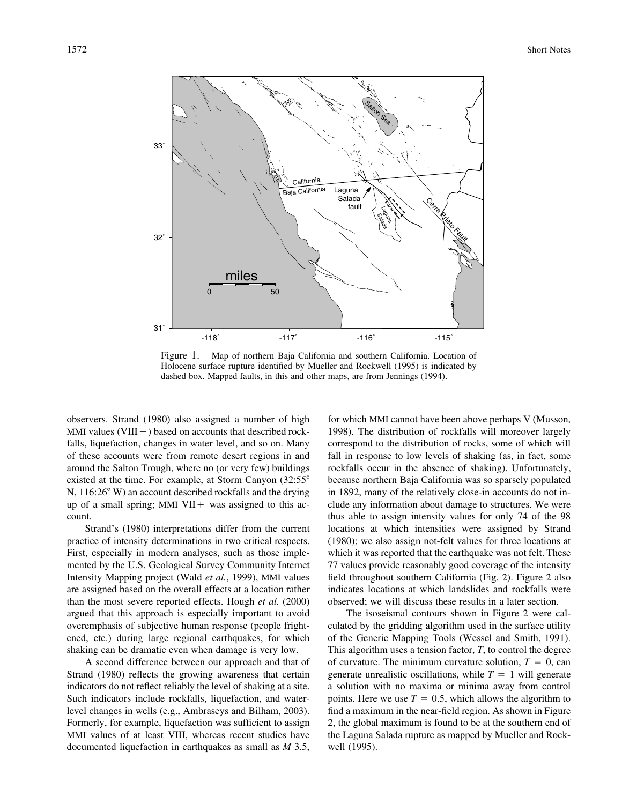

Figure 1. Map of northern Baja California and southern California. Location of Holocene surface rupture identified by Mueller and Rockwell (1995) is indicated by dashed box. Mapped faults, in this and other maps, are from Jennings (1994).

observers. Strand (1980) also assigned a number of high MMI values (VIII $+$ ) based on accounts that described rockfalls, liquefaction, changes in water level, and so on. Many of these accounts were from remote desert regions in and around the Salton Trough, where no (or very few) buildings existed at the time. For example, at Storm Canyon (32:55° N, 116:26<sup>°</sup> W) an account described rockfalls and the drying up of a small spring; MMI VII + was assigned to this account.

Strand's (1980) interpretations differ from the current practice of intensity determinations in two critical respects. First, especially in modern analyses, such as those implemented by the U.S. Geological Survey Community Internet Intensity Mapping project (Wald *et al.*, 1999), MMI values are assigned based on the overall effects at a location rather than the most severe reported effects. Hough *et al.* (2000) argued that this approach is especially important to avoid overemphasis of subjective human response (people frightened, etc.) during large regional earthquakes, for which shaking can be dramatic even when damage is very low.

A second difference between our approach and that of Strand (1980) reflects the growing awareness that certain indicators do not reflect reliably the level of shaking at a site. Such indicators include rockfalls, liquefaction, and waterlevel changes in wells (e.g., Ambraseys and Bilham, 2003). Formerly, for example, liquefaction was sufficient to assign MMI values of at least VIII, whereas recent studies have documented liquefaction in earthquakes as small as *M* 3.5,

for which MMI cannot have been above perhaps V (Musson, 1998). The distribution of rockfalls will moreover largely correspond to the distribution of rocks, some of which will fall in response to low levels of shaking (as, in fact, some rockfalls occur in the absence of shaking). Unfortunately, because northern Baja California was so sparsely populated in 1892, many of the relatively close-in accounts do not include any information about damage to structures. We were thus able to assign intensity values for only 74 of the 98 locations at which intensities were assigned by Strand (1980); we also assign not-felt values for three locations at which it was reported that the earthquake was not felt. These 77 values provide reasonably good coverage of the intensity field throughout southern California (Fig. 2). Figure 2 also indicates locations at which landslides and rockfalls were observed; we will discuss these results in a later section.

The isoseismal contours shown in Figure 2 were calculated by the gridding algorithm used in the surface utility of the Generic Mapping Tools (Wessel and Smith, 1991). This algorithm uses a tension factor, *T*, to control the degree of curvature. The minimum curvature solution,  $T = 0$ , can generate unrealistic oscillations, while  $T = 1$  will generate a solution with no maxima or minima away from control points. Here we use  $T = 0.5$ , which allows the algorithm to find a maximum in the near-field region. As shown in Figure 2, the global maximum is found to be at the southern end of the Laguna Salada rupture as mapped by Mueller and Rockwell (1995).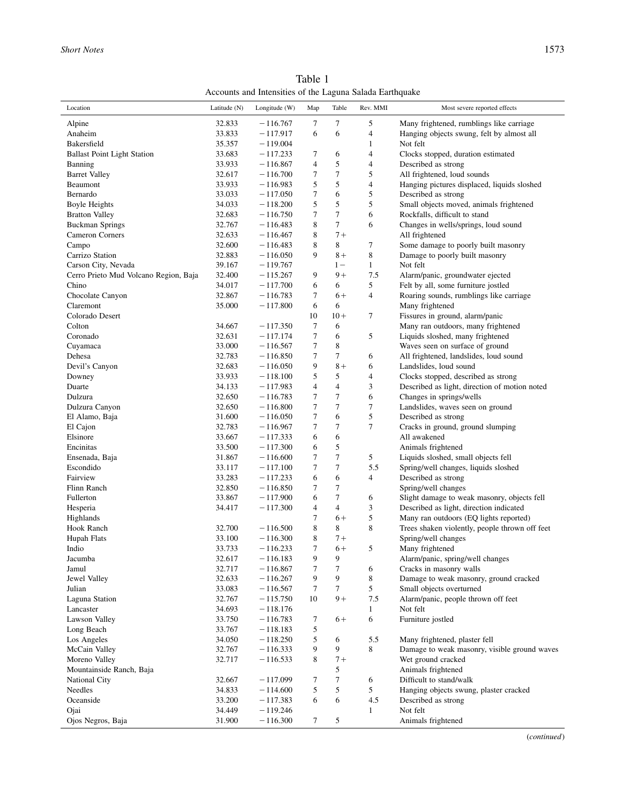Table 1 Accounts and Intensities of the Laguna Salada Earthquake

| Location                              | Latitude $(N)$   | Longitude (W)            | Map              | Table                   | Rev. MMI       | Most severe reported effects                                                |
|---------------------------------------|------------------|--------------------------|------------------|-------------------------|----------------|-----------------------------------------------------------------------------|
| Alpine                                | 32.833           | $-116.767$               | 7                | 7                       | 5              | Many frightened, rumblings like carriage                                    |
| Anaheim                               | 33.833           | $-117.917$               | 6                | 6                       | $\overline{4}$ | Hanging objects swung, felt by almost all                                   |
| Bakersfield                           | 35.357           | $-119.004$               |                  |                         | $\mathbf{1}$   | Not felt                                                                    |
| <b>Ballast Point Light Station</b>    | 33.683           | $-117.233$               | 7                | 6                       | $\overline{4}$ | Clocks stopped, duration estimated                                          |
| Banning                               | 33.933           | $-116.867$               | $\overline{4}$   | 5                       | 4              | Described as strong                                                         |
| <b>Barret Valley</b>                  | 32.617           | $-116.700$               | 7                | 7                       | 5              | All frightened, loud sounds                                                 |
| Beaumont                              | 33.933           | $-116.983$               | 5                | 5                       | 4              | Hanging pictures displaced, liquids sloshed                                 |
| Bernardo                              | 33.033           | $-117.050$               | $\boldsymbol{7}$ | 6                       | 5              | Described as strong                                                         |
| Boyle Heights                         | 34.033           | $-118.200$               | 5                | 5                       | 5              | Small objects moved, animals frightened                                     |
| <b>Bratton Valley</b>                 | 32.683           | $-116.750$               | 7                | 7                       | 6              | Rockfalls, difficult to stand                                               |
| <b>Buckman Springs</b>                | 32.767           | $-116.483$               | 8                | 7                       | 6              | Changes in wells/springs, loud sound                                        |
| Cameron Corners                       | 32.633           | $-116.467$               | 8                | $7+$                    |                | All frightened                                                              |
| Campo                                 | 32.600           | $-116.483$               | 8                | 8                       | 7              | Some damage to poorly built masonry                                         |
| Carrizo Station                       | 32.883           | $-116.050$               | 9                | $8+$                    | 8              | Damage to poorly built masonry                                              |
| Carson City, Nevada                   | 39.167           | $-119.767$               |                  | $1 -$                   | $\mathbf{1}$   | Not felt                                                                    |
| Cerro Prieto Mud Volcano Region, Baja | 32.400           |                          | 9                | $9+$                    | 7.5            | Alarm/panic, groundwater ejected                                            |
| Chino                                 | 34.017           | $-115.267$<br>$-117.700$ | 6                | 6                       | 5              | Felt by all, some furniture jostled                                         |
| Chocolate Canyon                      | 32.867           | $-116.783$               | 7                | $6+$                    | 4              | Roaring sounds, rumblings like carriage                                     |
| Claremont                             | 35.000           | $-117.800$               | 6                | 6                       |                | Many frightened                                                             |
| Colorado Desert                       |                  |                          | 10               | $10 +$                  | 7              | Fissures in ground, alarm/panic                                             |
| Colton                                | 34.667           | $-117.350$               | 7                | 6                       |                | Many ran outdoors, many frightened                                          |
| Coronado                              | 32.631           |                          | 7                | 6                       | 5              | Liquids sloshed, many frightened                                            |
| Cuyamaca                              | 33.000           | $-117.174$<br>$-116.567$ | 7                | 8                       |                | Waves seen on surface of ground                                             |
| Dehesa                                | 32.783           |                          | $\tau$           | 7                       |                |                                                                             |
|                                       |                  | $-116.850$               |                  | $8+$                    | 6              | All frightened, landslides, loud sound<br>Landslides, loud sound            |
| Devil's Canyon                        | 32.683<br>33.933 | $-116.050$<br>$-118.100$ | 9<br>5           | 5                       | 6<br>4         | Clocks stopped, described as strong                                         |
| Downey                                | 34.133           |                          | $\overline{4}$   | $\overline{\mathbf{4}}$ |                |                                                                             |
| Duarte                                |                  | $-117.983$               | 7                | 7                       | 3<br>6         | Described as light, direction of motion noted                               |
| Dulzura                               | 32.650           | $-116.783$               | $\tau$           | $\overline{7}$          | 7              | Changes in springs/wells                                                    |
| Dulzura Canyon                        | 32.650           | $-116.800$               | 7                | 6                       | 5              | Landslides, waves seen on ground                                            |
| El Alamo, Baja                        | 31.600           | $-116.050$               | 7                | $\overline{7}$          | 7              | Described as strong                                                         |
| El Cajon                              | 32.783           | $-116.967$               |                  | 6                       |                | Cracks in ground, ground slumping<br>All awakened                           |
| Elsinore<br>Encinitas                 | 33.667           | $-117.333$               | 6                |                         |                |                                                                             |
|                                       | 33.500           | $-117.300$               | 6<br>7           | 5<br>$\overline{7}$     |                | Animals frightened                                                          |
| Ensenada, Baja                        | 31.867<br>33.117 | $-116.600$               | $\tau$           | 7                       | 5<br>5.5       | Liquids sloshed, small objects fell<br>Spring/well changes, liquids sloshed |
| Escondido<br>Fairview                 | 33.283           | $-117.100$               | 6                | 6                       |                |                                                                             |
| Flinn Ranch                           | 32.850           | $-117.233$<br>$-116.850$ | 7                | 7                       | 4              | Described as strong<br>Spring/well changes                                  |
| Fullerton                             | 33.867           | $-117.900$               | 6                | 7                       | 6              | Slight damage to weak masonry, objects fell                                 |
|                                       | 34.417           | $-117.300$               | 4                | $\overline{4}$          | 3              | Described as light, direction indicated                                     |
| Hesperia                              |                  |                          | 7                | $6+$                    | 5              | Many ran outdoors (EQ lights reported)                                      |
| Highlands<br>Hook Ranch               | 32.700           | $-116.500$               | 8                | 8                       | 8              | Trees shaken violently, people thrown off feet                              |
| Hupah Flats                           | 33.100           | $-116.300$               | 8                | $7+$                    |                | Spring/well changes                                                         |
| Indio                                 | 33.733           | $-116.233$               | $\tau$           | $6+$                    | 5              | Many frightened                                                             |
| Jacumba                               | 32.617           | $-116.183$               | 9                | 9                       |                | Alarm/panic, spring/well changes                                            |
| Jamul                                 | 32.717           | $-116.867$               | 7                | 7                       | 6              | Cracks in masonry walls                                                     |
| Jewel Valley                          | 32.633           | $-116.267$               | 9                | 9                       | 8              | Damage to weak masonry, ground cracked                                      |
| Julian                                | 33.083           | $-116.567$               | 7                | $\tau$                  | 5              | Small objects overturned                                                    |
| Laguna Station                        | 32.767           | $-115.750$               | 10               | $9+$                    | 7.5            | Alarm/panic, people thrown off feet                                         |
| Lancaster                             | 34.693           | $-118.176$               |                  |                         | 1              | Not felt                                                                    |
| Lawson Valley                         | 33.750           | $-116.783$               | 7                | $6+$                    | 6              | Furniture jostled                                                           |
| Long Beach                            | 33.767           | $-118.183$               | 5                |                         |                |                                                                             |
| Los Angeles                           | 34.050           | $-118.250$               | 5                | 6                       | 5.5            | Many frightened, plaster fell                                               |
| McCain Valley                         | 32.767           | $-116.333$               | 9                | 9                       | 8              | Damage to weak masonry, visible ground waves                                |
|                                       |                  |                          |                  | $7+$                    |                |                                                                             |
| Moreno Valley                         | 32.717           | $-116.533$               | 8                | 5                       |                | Wet ground cracked                                                          |
| Mountainside Ranch, Baja              | 32.667           | $-117.099$               | 7                | 7                       | 6              | Animals frightened<br>Difficult to stand/walk                               |
| <b>National City</b>                  |                  |                          | 5                | 5                       |                |                                                                             |
| Needles<br>Oceanside                  | 34.833<br>33.200 | $-114.600$               | 6                | 6                       | 5              | Hanging objects swung, plaster cracked<br>Described as strong               |
|                                       |                  | $-117.383$               |                  |                         | 4.5            | Not felt                                                                    |
| Ojai<br>Ojos Negros, Baja             | 34.449<br>31.900 | $-119.246$<br>$-116.300$ |                  |                         | 1              | Animals frightened                                                          |
|                                       |                  |                          | 7                | 5                       |                |                                                                             |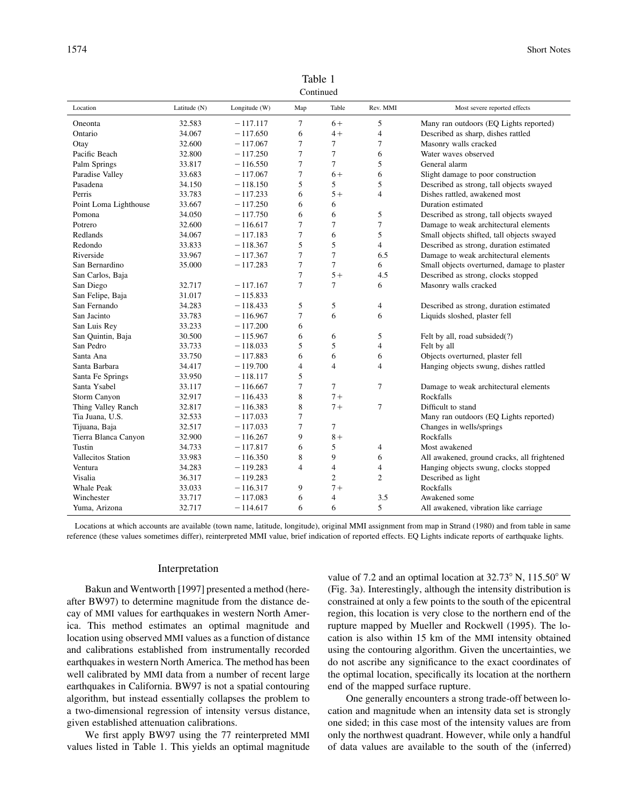| Commucu               |              |               |                |                |                |                                             |  |  |  |  |  |
|-----------------------|--------------|---------------|----------------|----------------|----------------|---------------------------------------------|--|--|--|--|--|
| Location              | Latitude (N) | Longitude (W) | Map            | Table          | Rev. MMI       | Most severe reported effects                |  |  |  |  |  |
| Oneonta               | 32.583       | $-117.117$    | 7              | $6+$           | 5              | Many ran outdoors (EQ Lights reported)      |  |  |  |  |  |
| Ontario               | 34.067       | $-117.650$    | 6              | $4+$           | 4              | Described as sharp, dishes rattled          |  |  |  |  |  |
| Otay                  | 32.600       | $-117.067$    | 7              | 7              | 7              | Masonry walls cracked                       |  |  |  |  |  |
| Pacific Beach         | 32.800       | $-117.250$    | $\tau$         | 7              | 6              | Water waves observed                        |  |  |  |  |  |
| Palm Springs          | 33.817       | $-116.550$    | 7              | 7              | 5              | General alarm                               |  |  |  |  |  |
| Paradise Valley       | 33.683       | $-117.067$    | 7              | $6+$           | 6              | Slight damage to poor construction          |  |  |  |  |  |
| Pasadena              | 34.150       | $-118.150$    | 5              | 5              | 5              | Described as strong, tall objects swayed    |  |  |  |  |  |
| Perris                | 33.783       | $-117.233$    | 6              | $5+$           | $\overline{4}$ | Dishes rattled, awakened most               |  |  |  |  |  |
| Point Loma Lighthouse | 33.667       | $-117.250$    | 6              | 6              |                | Duration estimated                          |  |  |  |  |  |
| Pomona                | 34.050       | $-117.750$    | 6              | 6              | 5              | Described as strong, tall objects swayed    |  |  |  |  |  |
| Potrero               | 32.600       | $-116.617$    | 7              | 7              | 7              | Damage to weak architectural elements       |  |  |  |  |  |
| Redlands              | 34.067       | $-117.183$    | 7              | 6              | 5              | Small objects shifted, tall objects swayed  |  |  |  |  |  |
| Redondo               | 33.833       | $-118.367$    | 5              | 5              | 4              | Described as strong, duration estimated     |  |  |  |  |  |
| Riverside             | 33.967       | $-117.367$    | 7              | 7              | 6.5            | Damage to weak architectural elements       |  |  |  |  |  |
| San Bernardino        | 35.000       | $-117.283$    | $\overline{7}$ | 7              | 6              | Small objects overturned, damage to plaster |  |  |  |  |  |
| San Carlos, Baja      |              |               | 7              | $5+$           | 4.5            | Described as strong, clocks stopped         |  |  |  |  |  |
| San Diego             | 32.717       | $-117.167$    | 7              | 7              | 6              | Masonry walls cracked                       |  |  |  |  |  |
| San Felipe, Baja      | 31.017       | $-115.833$    |                |                |                |                                             |  |  |  |  |  |
| San Fernando          | 34.283       | $-118.433$    | 5              | 5              | 4              | Described as strong, duration estimated     |  |  |  |  |  |
| San Jacinto           | 33.783       | $-116.967$    | 7              | 6              | 6              | Liquids sloshed, plaster fell               |  |  |  |  |  |
| San Luis Rey          | 33.233       | $-117.200$    | 6              |                |                |                                             |  |  |  |  |  |
| San Quintin, Baja     | 30.500       | $-115.967$    | 6              | 6              | 5              | Felt by all, road subsided(?)               |  |  |  |  |  |
| San Pedro             | 33.733       | $-118.033$    | 5              | 5              | $\overline{4}$ | Felt by all                                 |  |  |  |  |  |
| Santa Ana             | 33.750       | $-117.883$    | 6              | 6              | 6              | Objects overturned, plaster fell            |  |  |  |  |  |
| Santa Barbara         | 34.417       | $-119.700$    | 4              | $\overline{4}$ | $\overline{4}$ | Hanging objects swung, dishes rattled       |  |  |  |  |  |
| Santa Fe Springs      | 33.950       | $-118.117$    | 5              |                |                |                                             |  |  |  |  |  |
| Santa Ysabel          | 33.117       | $-116.667$    | 7              | 7              | 7              | Damage to weak architectural elements       |  |  |  |  |  |
| Storm Canyon          | 32.917       | $-116.433$    | 8              | $7+$           |                | Rockfalls                                   |  |  |  |  |  |
| Thing Valley Ranch    | 32.817       | $-116.383$    | 8              | $7+$           | 7              | Difficult to stand                          |  |  |  |  |  |
| Tia Juana, U.S.       | 32.533       | $-117.033$    | 7              |                |                | Many ran outdoors (EQ Lights reported)      |  |  |  |  |  |
| Tijuana, Baja         | 32.517       | $-117.033$    | 7              | 7              |                | Changes in wells/springs                    |  |  |  |  |  |
| Tierra Blanca Canyon  | 32.900       | $-116.267$    | 9              | $8+$           |                | Rockfalls                                   |  |  |  |  |  |
| Tustin                | 34.733       | $-117.817$    | 6              | 5              | 4              | Most awakened                               |  |  |  |  |  |
| Vallecitos Station    | 33.983       | $-116.350$    | 8              | 9              | 6              | All awakened, ground cracks, all frightened |  |  |  |  |  |
| Ventura               | 34.283       | $-119.283$    | $\overline{4}$ | $\overline{4}$ | $\overline{4}$ | Hanging objects swung, clocks stopped       |  |  |  |  |  |
| Visalia               | 36.317       | $-119.283$    |                | $\overline{c}$ | $\overline{c}$ | Described as light                          |  |  |  |  |  |
| Whale Peak            | 33.033       | $-116.317$    | 9              | $7+$           |                | Rockfalls                                   |  |  |  |  |  |
| Winchester            | 33.717       | $-117.083$    | 6              | 4              | 3.5            | Awakened some                               |  |  |  |  |  |
| Yuma, Arizona         | 32.717       | $-114.617$    | 6              | 6              | 5              | All awakened, vibration like carriage       |  |  |  |  |  |

Table 1 Continued

Locations at which accounts are available (town name, latitude, longitude), original MMI assignment from map in Strand (1980) and from table in same reference (these values sometimes differ), reinterpreted MMI value, brief indication of reported effects. EQ Lights indicate reports of earthquake lights.

## Interpretation

Bakun and Wentworth [1997] presented a method (hereafter BW97) to determine magnitude from the distance decay of MMI values for earthquakes in western North America. This method estimates an optimal magnitude and location using observed MMI values as a function of distance and calibrations established from instrumentally recorded earthquakes in western North America. The method has been well calibrated by MMI data from a number of recent large earthquakes in California. BW97 is not a spatial contouring algorithm, but instead essentially collapses the problem to a two-dimensional regression of intensity versus distance, given established attenuation calibrations.

We first apply BW97 using the 77 reinterpreted MMI values listed in Table 1. This yields an optimal magnitude

value of 7.2 and an optimal location at  $32.73^{\circ}$  N,  $115.50^{\circ}$  W (Fig. 3a). Interestingly, although the intensity distribution is constrained at only a few points to the south of the epicentral region, this location is very close to the northern end of the rupture mapped by Mueller and Rockwell (1995). The location is also within 15 km of the MMI intensity obtained using the contouring algorithm. Given the uncertainties, we do not ascribe any significance to the exact coordinates of the optimal location, specifically its location at the northern end of the mapped surface rupture.

One generally encounters a strong trade-off between location and magnitude when an intensity data set is strongly one sided; in this case most of the intensity values are from only the northwest quadrant. However, while only a handful of data values are available to the south of the (inferred)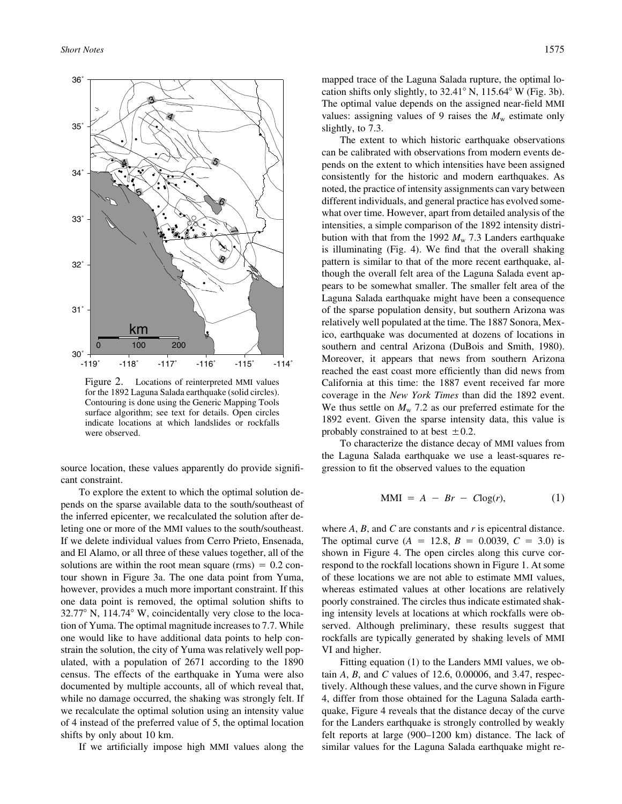

Figure 2. Locations of reinterpreted MMI values for the 1892 Laguna Salada earthquake (solid circles). Contouring is done using the Generic Mapping Tools surface algorithm; see text for details. Open circles indicate locations at which landslides or rockfalls were observed.

source location, these values apparently do provide significant constraint.

To explore the extent to which the optimal solution depends on the sparse available data to the south/southeast of the inferred epicenter, we recalculated the solution after deleting one or more of the MMI values to the south/southeast. If we delete individual values from Cerro Prieto, Ensenada, and El Alamo, or all three of these values together, all of the solutions are within the root mean square  $(rms) = 0.2$  contour shown in Figure 3a. The one data point from Yuma, however, provides a much more important constraint. If this one data point is removed, the optimal solution shifts to  $32.77^{\circ}$  N,  $114.74^{\circ}$  W, coincidentally very close to the location of Yuma. The optimal magnitude increases to 7.7. While one would like to have additional data points to help constrain the solution, the city of Yuma was relatively well populated, with a population of 2671 according to the 1890 census. The effects of the earthquake in Yuma were also documented by multiple accounts, all of which reveal that, while no damage occurred, the shaking was strongly felt. If we recalculate the optimal solution using an intensity value of 4 instead of the preferred value of 5, the optimal location shifts by only about 10 km.

If we artificially impose high MMI values along the

mapped trace of the Laguna Salada rupture, the optimal location shifts only slightly, to  $32.41^\circ$  N,  $115.64^\circ$  W (Fig. 3b). The optimal value depends on the assigned near-field MMI values: assigning values of 9 raises the  $M_w$  estimate only slightly, to 7.3.

The extent to which historic earthquake observations can be calibrated with observations from modern events depends on the extent to which intensities have been assigned consistently for the historic and modern earthquakes. As noted, the practice of intensity assignments can vary between different individuals, and general practice has evolved somewhat over time. However, apart from detailed analysis of the intensities, a simple comparison of the 1892 intensity distribution with that from the 1992  $M_{\rm w}$  7.3 Landers earthquake is illuminating (Fig. 4). We find that the overall shaking pattern is similar to that of the more recent earthquake, although the overall felt area of the Laguna Salada event appears to be somewhat smaller. The smaller felt area of the Laguna Salada earthquake might have been a consequence of the sparse population density, but southern Arizona was relatively well populated at the time. The 1887 Sonora, Mexico, earthquake was documented at dozens of locations in southern and central Arizona (DuBois and Smith, 1980). Moreover, it appears that news from southern Arizona reached the east coast more efficiently than did news from California at this time: the 1887 event received far more coverage in the *New York Times* than did the 1892 event. We thus settle on  $M_{\rm w}$  7.2 as our preferred estimate for the 1892 event. Given the sparse intensity data, this value is probably constrained to at best  $\pm 0.2$ .

To characterize the distance decay of MMI values from the Laguna Salada earthquake we use a least-squares regression to fit the observed values to the equation

$$
MMI = A - Br - Clog(r), \qquad (1)
$$

where *A*, *B*, and *C* are constants and *r* is epicentral distance. The optimal curve  $(A = 12.8, B = 0.0039, C = 3.0)$  is shown in Figure 4. The open circles along this curve correspond to the rockfall locations shown in Figure 1. At some of these locations we are not able to estimate MMI values, whereas estimated values at other locations are relatively poorly constrained. The circles thus indicate estimated shaking intensity levels at locations at which rockfalls were observed. Although preliminary, these results suggest that rockfalls are typically generated by shaking levels of MMI VI and higher.

Fitting equation (1) to the Landers MMI values, we obtain *A*, *B*, and *C* values of 12.6, 0.00006, and 3.47, respectively. Although these values, and the curve shown in Figure 4, differ from those obtained for the Laguna Salada earthquake, Figure 4 reveals that the distance decay of the curve for the Landers earthquake is strongly controlled by weakly felt reports at large (900–1200 km) distance. The lack of similar values for the Laguna Salada earthquake might re-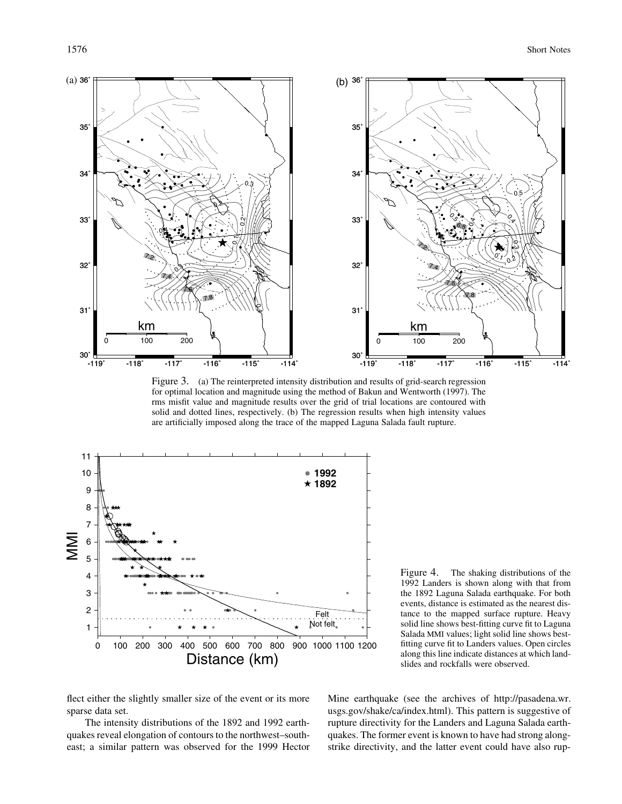

Figure 3. (a) The reinterpreted intensity distribution and results of grid-search regression for optimal location and magnitude using the method of Bakun and Wentworth (1997). The rms misfit value and magnitude results over the grid of trial locations are contoured with solid and dotted lines, respectively. (b) The regression results when high intensity values are artificially imposed along the trace of the mapped Laguna Salada fault rupture.



Figure 4. The shaking distributions of the 1992 Landers is shown along with that from the 1892 Laguna Salada earthquake. For both events, distance is estimated as the nearest distance to the mapped surface rupture. Heavy solid line shows best-fitting curve fit to Laguna Salada MMI values; light solid line shows bestfitting curve fit to Landers values. Open circles along this line indicate distances at which landslides and rockfalls were observed.

flect either the slightly smaller size of the event or its more sparse data set.

The intensity distributions of the 1892 and 1992 earthquakes reveal elongation of contours to the northwest–southeast; a similar pattern was observed for the 1999 Hector

Mine earthquake (see the archives of http://pasadena.wr. usgs.gov/shake/ca/index.html). This pattern is suggestive of rupture directivity for the Landers and Laguna Salada earthquakes. The former event is known to have had strong alongstrike directivity, and the latter event could have also rup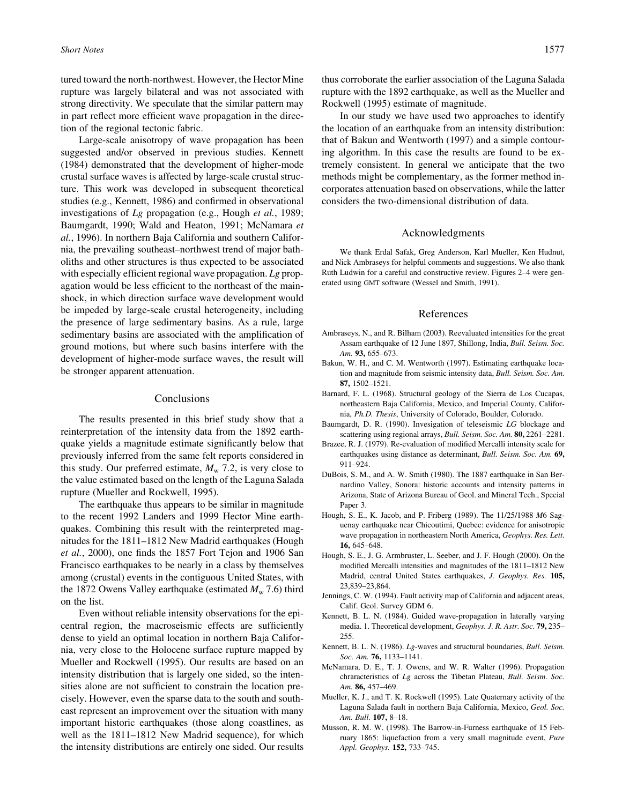tured toward the north-northwest. However, the Hector Mine rupture was largely bilateral and was not associated with strong directivity. We speculate that the similar pattern may in part reflect more efficient wave propagation in the direction of the regional tectonic fabric.

Large-scale anisotropy of wave propagation has been suggested and/or observed in previous studies. Kennett (1984) demonstrated that the development of higher-mode crustal surface waves is affected by large-scale crustal structure. This work was developed in subsequent theoretical studies (e.g., Kennett, 1986) and confirmed in observational investigations of *Lg* propagation (e.g., Hough *et al.*, 1989; Baumgardt, 1990; Wald and Heaton, 1991; McNamara *et al.*, 1996). In northern Baja California and southern California, the prevailing southeast–northwest trend of major batholiths and other structures is thus expected to be associated with especially efficient regional wave propagation. *Lg* propagation would be less efficient to the northeast of the mainshock, in which direction surface wave development would be impeded by large-scale crustal heterogeneity, including the presence of large sedimentary basins. As a rule, large sedimentary basins are associated with the amplification of ground motions, but where such basins interfere with the development of higher-mode surface waves, the result will be stronger apparent attenuation.

#### Conclusions

The results presented in this brief study show that a reinterpretation of the intensity data from the 1892 earthquake yields a magnitude estimate significantly below that previously inferred from the same felt reports considered in this study. Our preferred estimate,  $M_{\rm w}$  7.2, is very close to the value estimated based on the length of the Laguna Salada rupture (Mueller and Rockwell, 1995).

The earthquake thus appears to be similar in magnitude to the recent 1992 Landers and 1999 Hector Mine earthquakes. Combining this result with the reinterpreted magnitudes for the 1811–1812 New Madrid earthquakes (Hough *et al.*, 2000), one finds the 1857 Fort Tejon and 1906 San Francisco earthquakes to be nearly in a class by themselves among (crustal) events in the contiguous United States, with the 1872 Owens Valley earthquake (estimated  $M_{\rm w}$  7.6) third on the list.

Even without reliable intensity observations for the epicentral region, the macroseismic effects are sufficiently dense to yield an optimal location in northern Baja California, very close to the Holocene surface rupture mapped by Mueller and Rockwell (1995). Our results are based on an intensity distribution that is largely one sided, so the intensities alone are not sufficient to constrain the location precisely. However, even the sparse data to the south and southeast represent an improvement over the situation with many important historic earthquakes (those along coastlines, as well as the 1811–1812 New Madrid sequence), for which the intensity distributions are entirely one sided. Our results

thus corroborate the earlier association of the Laguna Salada rupture with the 1892 earthquake, as well as the Mueller and Rockwell (1995) estimate of magnitude.

In our study we have used two approaches to identify the location of an earthquake from an intensity distribution: that of Bakun and Wentworth (1997) and a simple contouring algorithm. In this case the results are found to be extremely consistent. In general we anticipate that the two methods might be complementary, as the former method incorporates attenuation based on observations, while the latter considers the two-dimensional distribution of data.

### Acknowledgments

We thank Erdal Safak, Greg Anderson, Karl Mueller, Ken Hudnut, and Nick Ambraseys for helpful comments and suggestions. We also thank Ruth Ludwin for a careful and constructive review. Figures 2–4 were generated using GMT software (Wessel and Smith, 1991).

#### References

- Ambraseys, N., and R. Bilham (2003). Reevaluated intensities for the great Assam earthquake of 12 June 1897, Shillong, India, *Bull. Seism. Soc. Am.* **93,** 655–673.
- Bakun, W. H., and C. M. Wentworth (1997). Estimating earthquake location and magnitude from seismic intensity data, *Bull. Seism. Soc. Am.* **87,** 1502–1521.
- Barnard, F. L. (1968). Structural geology of the Sierra de Los Cucapas, northeastern Baja California, Mexico, and Imperial County, California, *Ph.D. Thesis*, University of Colorado, Boulder, Colorado.
- Baumgardt, D. R. (1990). Invesigation of teleseismic *LG* blockage and scattering using regional arrays, *Bull. Seism. Soc. Am.* **80,** 2261–2281.
- Brazee, R. J. (1979). Re-evaluation of modified Mercalli intensity scale for earthquakes using distance as determinant, *Bull. Seism. Soc. Am.* **69,** 911–924.
- DuBois, S. M., and A. W. Smith (1980). The 1887 earthquake in San Bernardino Valley, Sonora: historic accounts and intensity patterns in Arizona, State of Arizona Bureau of Geol. and Mineral Tech., Special Paper 3.
- Hough, S. E., K. Jacob, and P. Friberg (1989). The 11/25/1988 *M*6 Saguenay earthquake near Chicoutimi, Quebec: evidence for anisotropic wave propagation in northeastern North America, *Geophys. Res. Lett.* **16,** 645–648.
- Hough, S. E., J. G. Armbruster, L. Seeber, and J. F. Hough (2000). On the modified Mercalli intensities and magnitudes of the 1811–1812 New Madrid, central United States earthquakes, *J. Geophys. Res.* **105,** 23,839–23,864.
- Jennings, C. W. (1994). Fault activity map of California and adjacent areas, Calif. Geol. Survey GDM 6.
- Kennett, B. L. N. (1984). Guided wave-propagation in laterally varying media. 1. Theoretical development, *Geophys. J. R. Astr. Soc.* **79,** 235– 255.
- Kennett, B. L. N. (1986). *Lg*-waves and structural boundaries, *Bull. Seism. Soc. Am.* **76,** 1133–1141.
- McNamara, D. E., T. J. Owens, and W. R. Walter (1996). Propagation chraracteristics of *Lg* across the Tibetan Plateau, *Bull. Seism. Soc. Am.* **86,** 457–469.
- Mueller, K. J., and T. K. Rockwell (1995). Late Quaternary activity of the Laguna Salada fault in northern Baja California, Mexico, *Geol. Soc. Am. Bull.* **107,** 8–18.
- Musson, R. M. W. (1998). The Barrow-in-Furness earthquake of 15 February 1865: liquefaction from a very small magnitude event, *Pure Appl. Geophys.* **152,** 733–745.